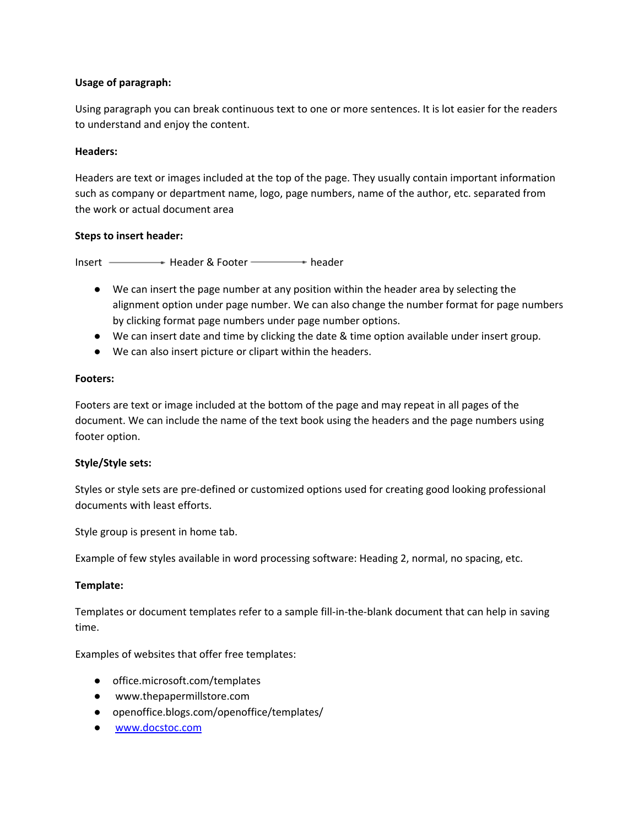## **Usage of paragraph:**

Using paragraph you can break continuous text to one or more sentences. It is lot easier for the readers to understand and enjoy the content.

## **Headers:**

Headers are text or images included at the top of the page. They usually contain important information such as company or department name, logo, page numbers, name of the author, etc. separated from the work or actual document area

## **Steps to insert header:**

Insert **- Header & Footer** header

- We can insert the page number at any position within the header area by selecting the alignment option under page number. We can also change the number format for page numbers by clicking format page numbers under page number options.
- We can insert date and time by clicking the date & time option available under insert group.
- We can also insert picture or clipart within the headers.

## **Footers:**

Footers are text or image included at the bottom of the page and may repeat in all pages of the document. We can include the name of the text book using the headers and the page numbers using footer option.

# **Style/Style sets:**

Styles or style sets are pre-defined or customized options used for creating good looking professional documents with least efforts.

Style group is present in home tab.

Example of few styles available in word processing software: Heading 2, normal, no spacing, etc.

# **Template:**

Templates or document templates refer to a sample fill-in-the-blank document that can help in saving time.

Examples of websites that offer free templates:

- office.microsoft.com/templates
- www.thepapermillstore.com
- openoffice.blogs.com/openoffice/templates/
- [www.docstoc.com](http://www.docstoc.com/)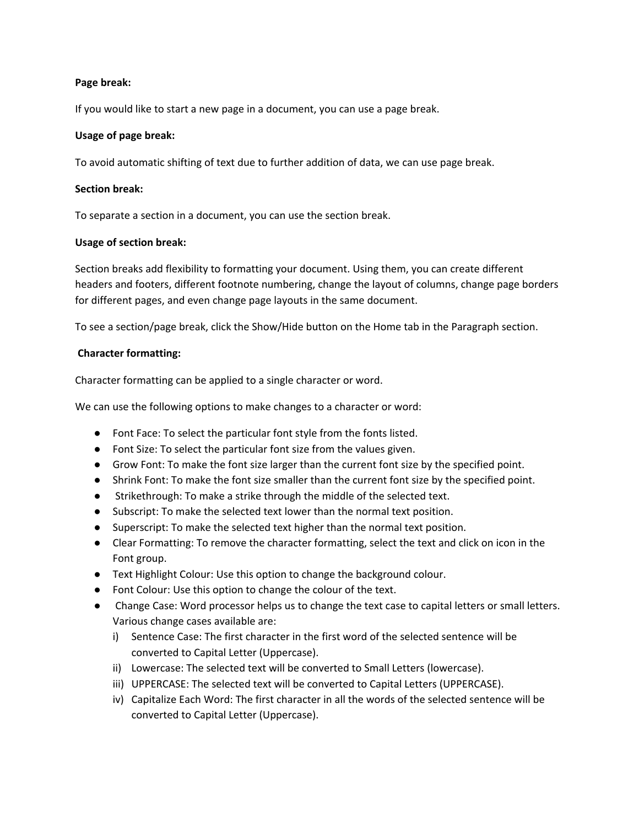### **Page break:**

If you would like to start a new page in a document, you can use a page break.

#### **Usage of page break:**

To avoid automatic shifting of text due to further addition of data, we can use page break.

#### **Section break:**

To separate a section in a document, you can use the section break.

#### **Usage of section break:**

Section breaks add flexibility to formatting your document. Using them, you can create different headers and footers, different footnote numbering, change the layout of columns, change page borders for different pages, and even change page layouts in the same document.

To see a section/page break, click the Show/Hide button on the Home tab in the Paragraph section.

#### **Character formatting:**

Character formatting can be applied to a single character or word.

We can use the following options to make changes to a character or word:

- Font Face: To select the particular font style from the fonts listed.
- Font Size: To select the particular font size from the values given.
- Grow Font: To make the font size larger than the current font size by the specified point.
- Shrink Font: To make the font size smaller than the current font size by the specified point.
- Strikethrough: To make a strike through the middle of the selected text.
- Subscript: To make the selected text lower than the normal text position.
- Superscript: To make the selected text higher than the normal text position.
- Clear Formatting: To remove the character formatting, select the text and click on icon in the Font group.
- Text Highlight Colour: Use this option to change the background colour.
- Font Colour: Use this option to change the colour of the text.
- Change Case: Word processor helps us to change the text case to capital letters or small letters. Various change cases available are:
	- i) Sentence Case: The first character in the first word of the selected sentence will be converted to Capital Letter (Uppercase).
	- ii) Lowercase: The selected text will be converted to Small Letters (lowercase).
	- iii) UPPERCASE: The selected text will be converted to Capital Letters (UPPERCASE).
	- iv) Capitalize Each Word: The first character in all the words of the selected sentence will be converted to Capital Letter (Uppercase).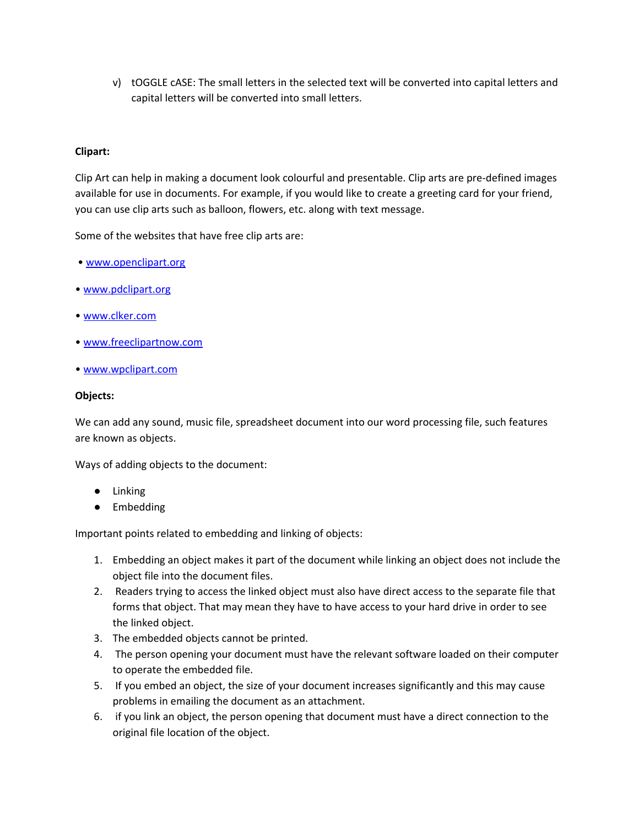v) tOGGLE cASE: The small letters in the selected text will be converted into capital letters and capital letters will be converted into small letters.

## **Clipart:**

Clip Art can help in making a document look colourful and presentable. Clip arts are pre-defined images available for use in documents. For example, if you would like to create a greeting card for your friend, you can use clip arts such as balloon, flowers, etc. along with text message.

Some of the websites that have free clip arts are:

- [www.openclipart.org](http://www.openclipart.org/)
- [www.pdclipart.org](http://www.pdclipart.org/)
- [www.clker.com](http://www.clker.com/)
- [www.freeclipartnow.com](http://www.freeclipartnow.com/)
- [www.wpclipart.com](http://www.wpclipart.com/)

## **Objects:**

We can add any sound, music file, spreadsheet document into our word processing file, such features are known as objects.

Ways of adding objects to the document:

- Linking
- Embedding

Important points related to embedding and linking of objects:

- 1. Embedding an object makes it part of the document while linking an object does not include the object file into the document files.
- 2. Readers trying to access the linked object must also have direct access to the separate file that forms that object. That may mean they have to have access to your hard drive in order to see the linked object.
- 3. The embedded objects cannot be printed.
- 4. The person opening your document must have the relevant software loaded on their computer to operate the embedded file.
- 5. If you embed an object, the size of your document increases significantly and this may cause problems in emailing the document as an attachment.
- 6. if you link an object, the person opening that document must have a direct connection to the original file location of the object.